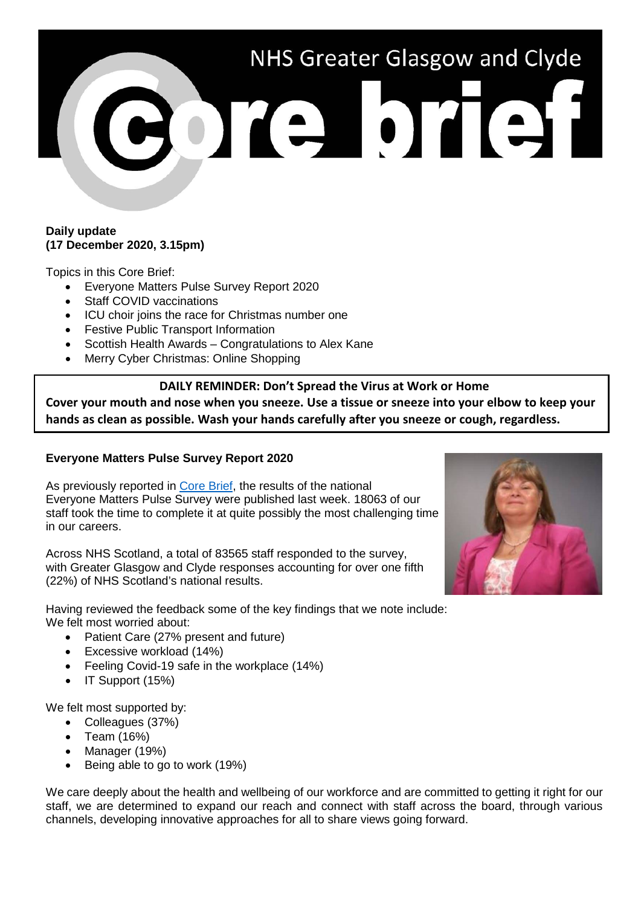# NHS Greater Glasgow and Clyde

#### **Daily update (17 December 2020, 3.15pm)**

Topics in this Core Brief:

- Everyone Matters Pulse Survey Report 2020
- Staff COVID vaccinations
- ICU choir joins the race for Christmas number one
- Festive Public Transport Information
- Scottish Health Awards Congratulations to Alex Kane
- Merry Cyber Christmas: Online Shopping

## **DAILY REMINDER: Don't Spread the Virus at Work or Home**

**Cover your mouth and nose when you sneeze. Use a tissue or sneeze into your elbow to keep your hands as clean as possible. Wash your hands carefully after you sneeze or cough, regardless.**

# **Everyone Matters Pulse Survey Report 2020**

As previously reported in [Core Brief,](https://www.nhsggc.org.uk/media/264100/270-core-brief-7-december-2020-daily-update-650pm.pdf) the results of the national Everyone Matters Pulse Survey were published last week. 18063 of our staff took the time to complete it at quite possibly the most challenging time in our careers.

Across NHS Scotland, a total of 83565 staff responded to the survey, with Greater Glasgow and Clyde responses accounting for over one fifth (22%) of NHS Scotland's national results.

Having reviewed the feedback some of the key findings that we note include: We felt most worried about:

- Patient Care (27% present and future)
- Excessive workload (14%)
- Feeling Covid-19 safe in the workplace (14%)
- IT Support (15%)

We felt most supported by:

- Colleagues (37%)
- Team (16%)
- Manager (19%)
- Being able to go to work (19%)

We care deeply about the health and wellbeing of our workforce and are committed to getting it right for our staff, we are determined to expand our reach and connect with staff across the board, through various channels, developing innovative approaches for all to share views going forward.

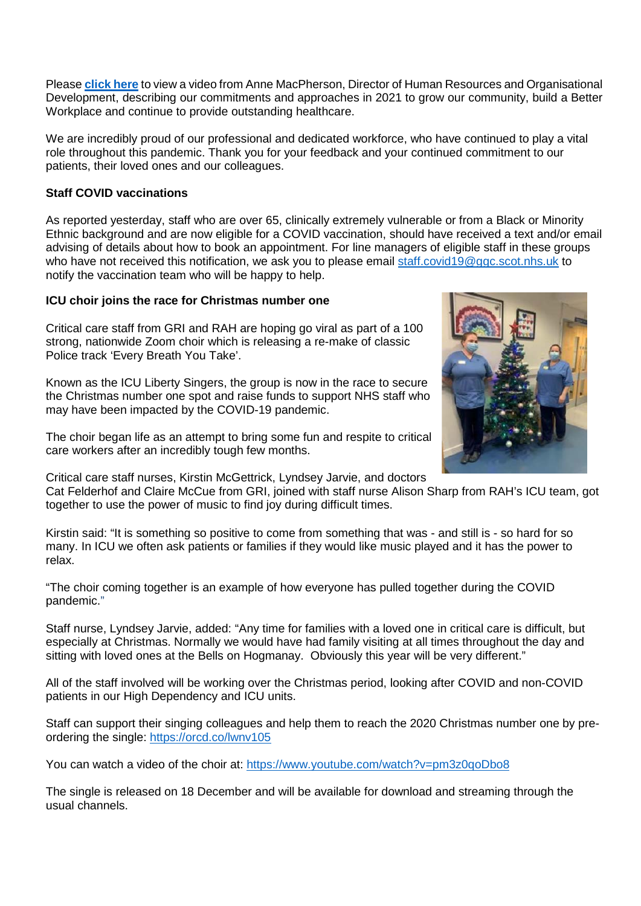Please **[click here](https://www.youtube.com/watch?v=WPZ57RdBv1E)** to view a video from Anne MacPherson, Director of Human Resources and Organisational Development, describing our commitments and approaches in 2021 to grow our community, build a Better Workplace and continue to provide outstanding healthcare.

We are incredibly proud of our professional and dedicated workforce, who have continued to play a vital role throughout this pandemic. Thank you for your feedback and your continued commitment to our patients, their loved ones and our colleagues.

## **Staff COVID vaccinations**

As reported yesterday, staff who are over 65, clinically extremely vulnerable or from a Black or Minority Ethnic background and are now eligible for a COVID vaccination, should have received a text and/or email advising of details about how to book an appointment. For line managers of eligible staff in these groups who have not received this notification, we ask you to please email [staff.covid19@ggc.scot.nhs.uk](mailto:staff.covid19@ggc.scot.nhs.uk) to notify the vaccination team who will be happy to help.

#### **ICU choir joins the race for Christmas number one**

Critical care staff from GRI and RAH are hoping go viral as part of a 100 strong, nationwide Zoom choir which is releasing a re-make of classic Police track 'Every Breath You Take'.

Known as the ICU Liberty Singers, the group is now in the race to secure the Christmas number one spot and raise funds to support NHS staff who may have been impacted by the COVID-19 pandemic.

The choir began life as an attempt to bring some fun and respite to critical care workers after an incredibly tough few months.

Critical care staff nurses, Kirstin McGettrick, Lyndsey Jarvie, and doctors

Cat Felderhof and Claire McCue from GRI, joined with staff nurse Alison Sharp from RAH's ICU team, got together to use the power of music to find joy during difficult times.

Kirstin said: "It is something so positive to come from something that was - and still is - so hard for so many. In ICU we often ask patients or families if they would like music played and it has the power to relax.

"The choir coming together is an example of how everyone has pulled together during the COVID pandemic."

Staff nurse, Lyndsey Jarvie, added: "Any time for families with a loved one in critical care is difficult, but especially at Christmas. Normally we would have had family visiting at all times throughout the day and sitting with loved ones at the Bells on Hogmanay. Obviously this year will be very different."

All of the staff involved will be working over the Christmas period, looking after COVID and non-COVID patients in our High Dependency and ICU units.

Staff can support their singing colleagues and help them to reach the 2020 Christmas number one by preordering the single:<https://orcd.co/lwnv105>

You can watch a video of the choir at:<https://www.youtube.com/watch?v=pm3z0qoDbo8>

The single is released on 18 December and will be available for download and streaming through the usual channels.

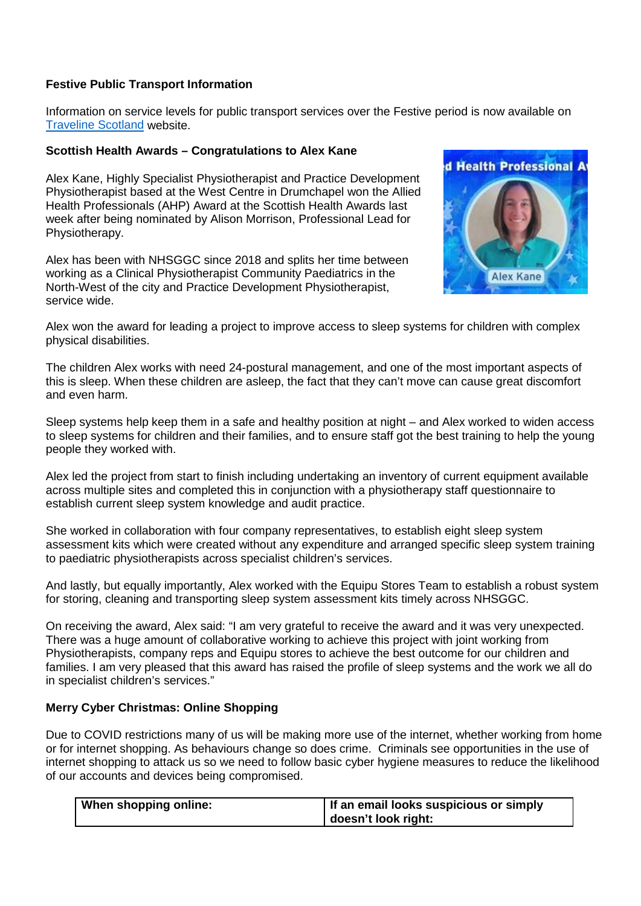## **Festive Public Transport Information**

Information on service levels for public transport services over the Festive period is now available on [Traveline Scotland](https://www.travelinescotland.com/christmas-and-new-year-public-transport) website.

## **Scottish Health Awards – Congratulations to Alex Kane**

Alex Kane, Highly Specialist Physiotherapist and Practice Development Physiotherapist based at the West Centre in Drumchapel won the Allied Health Professionals (AHP) Award at the Scottish Health Awards last week after being nominated by Alison Morrison, Professional Lead for Physiotherapy.

Alex has been with NHSGGC since 2018 and splits her time between working as a Clinical Physiotherapist Community Paediatrics in the North-West of the city and Practice Development Physiotherapist, service wide.



Alex won the award for leading a project to improve access to sleep systems for children with complex physical disabilities.

The children Alex works with need 24-postural management, and one of the most important aspects of this is sleep. When these children are asleep, the fact that they can't move can cause great discomfort and even harm.

Sleep systems help keep them in a safe and healthy position at night – and Alex worked to widen access to sleep systems for children and their families, and to ensure staff got the best training to help the young people they worked with.

Alex led the project from start to finish including undertaking an inventory of current equipment available across multiple sites and completed this in conjunction with a physiotherapy staff questionnaire to establish current sleep system knowledge and audit practice.

She worked in collaboration with four company representatives, to establish eight sleep system assessment kits which were created without any expenditure and arranged specific sleep system training to paediatric physiotherapists across specialist children's services.

And lastly, but equally importantly, Alex worked with the Equipu Stores Team to establish a robust system for storing, cleaning and transporting sleep system assessment kits timely across NHSGGC.

On receiving the award, Alex said: "I am very grateful to receive the award and it was very unexpected. There was a huge amount of collaborative working to achieve this project with joint working from Physiotherapists, company reps and Equipu stores to achieve the best outcome for our children and families. I am very pleased that this award has raised the profile of sleep systems and the work we all do in specialist children's services."

#### **Merry Cyber Christmas: Online Shopping**

Due to COVID restrictions many of us will be making more use of the internet, whether working from home or for internet shopping. As behaviours change so does crime. Criminals see opportunities in the use of internet shopping to attack us so we need to follow basic cyber hygiene measures to reduce the likelihood of our accounts and devices being compromised.

| <b>When shopping online:</b> | If an email looks suspicious or simply |
|------------------------------|----------------------------------------|
|                              | doesn't look right:                    |